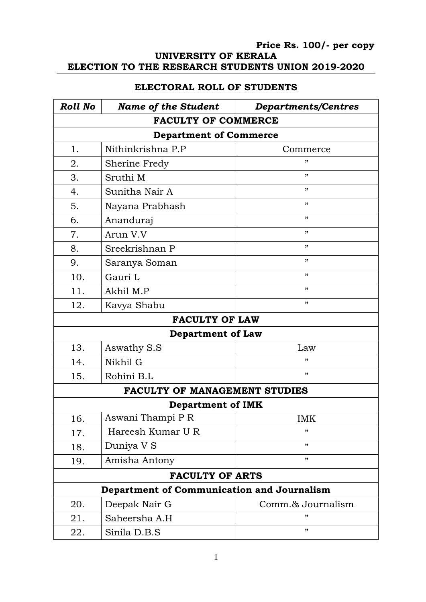## **Price Rs. 100/- per copy UNIVERSITY OF KERALA ELECTION TO THE RESEARCH STUDENTS UNION 2019-2020**

## **ELECTORAL ROLL OF STUDENTS**

| <b>Roll No</b>                             | <b>Name of the Student</b> | <b>Departments/Centres</b> |
|--------------------------------------------|----------------------------|----------------------------|
|                                            | <b>FACULTY OF COMMERCE</b> |                            |
| <b>Department of Commerce</b>              |                            |                            |
| 1.                                         | Nithinkrishna P.P          | Commerce                   |
| 2.                                         | Sherine Fredy              | "                          |
| 3.                                         | Sruthi M                   | "                          |
| 4.                                         | Sunitha Nair A             | ,,                         |
| 5.                                         | Nayana Prabhash            | "                          |
| 6.                                         | Ananduraj                  | "                          |
| 7.                                         | Arun V.V                   | "                          |
| 8.                                         | Sreekrishnan P             | "                          |
| 9.                                         | Saranya Soman              | , 22                       |
| 10.                                        | Gauri L                    | "                          |
| 11.                                        | Akhil M.P                  | , 2                        |
| 12.                                        | Kavya Shabu                | "                          |
|                                            | <b>FACULTY OF LAW</b>      |                            |
|                                            | <b>Department of Law</b>   |                            |
| 13.                                        | Aswathy S.S                | Law                        |
| 14.                                        | Nikhil G                   | "                          |
| 15.                                        | Rohini B.L                 | "                          |
| <b>FACULTY OF MANAGEMENT STUDIES</b>       |                            |                            |
|                                            | <b>Department of IMK</b>   |                            |
| 16.                                        | Aswani Thampi P R          | <b>IMK</b>                 |
| 17.                                        | Hareesh Kumar U R          | "                          |
| 18.                                        | Duniya V S                 | "                          |
| 19.                                        | Amisha Antony              | ,,                         |
| <b>FACULTY OF ARTS</b>                     |                            |                            |
| Department of Communication and Journalism |                            |                            |
| 20.                                        | Deepak Nair G              | Comm.& Journalism          |
| 21.                                        | Saheersha A.H              | "                          |
| 22.                                        | Sinila D.B.S               | "                          |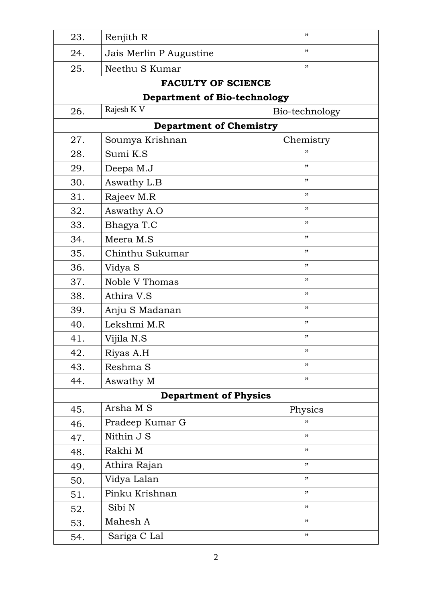| 23. | Renjith R                           | ,,             |
|-----|-------------------------------------|----------------|
| 24. | Jais Merlin P Augustine             | "              |
| 25. | Neethu S Kumar                      | "              |
|     | <b>FACULTY OF SCIENCE</b>           |                |
|     | <b>Department of Bio-technology</b> |                |
| 26. | Rajesh K V                          | Bio-technology |
|     | <b>Department of Chemistry</b>      |                |
| 27. | Soumya Krishnan                     | Chemistry      |
| 28. | Sumi K.S                            | "              |
| 29. | Deepa M.J                           | "              |
| 30. | Aswathy L.B                         | "              |
| 31. | Rajeev M.R                          | "              |
| 32. | Aswathy A.O                         | "              |
| 33. | Bhagya T.C                          | "              |
| 34. | Meera M.S                           | ,,             |
| 35. | Chinthu Sukumar                     | , 2            |
| 36. | Vidya S                             | , 2            |
| 37. | Noble V Thomas                      | "              |
| 38. | Athira V.S                          | "              |
| 39. | Anju S Madanan                      | , 2            |
| 40. | Lekshmi M.R                         | ,,             |
| 41. | Vijila N.S                          | "              |
| 42. | Riyas A.H                           | "              |
| 43. | Reshma S                            | "              |
| 44. | Aswathy M                           | "              |
|     | <b>Department of Physics</b>        |                |
| 45. | Arsha M S                           | Physics        |
| 46. | Pradeep Kumar G                     | "              |
| 47. | Nithin J S                          | "              |
| 48. | Rakhi M                             | "              |
| 49. | Athira Rajan                        | "              |
| 50. | Vidya Lalan                         | "              |
| 51. | Pinku Krishnan                      | "              |
| 52. | Sibi N                              | "              |
| 53. | Mahesh A                            | "              |
| 54. | Sariga C Lal                        | "              |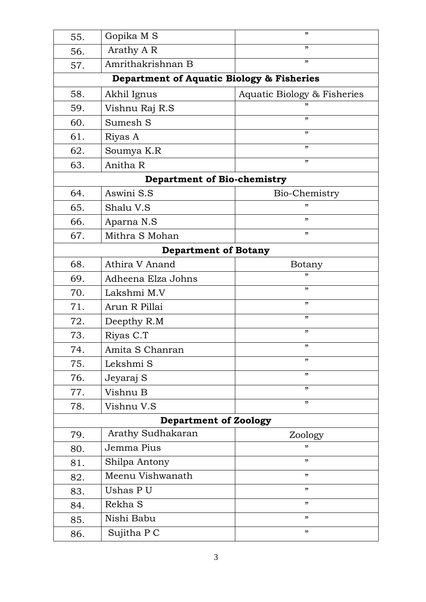| 55.                                | Gopika M S                                | "                           |  |
|------------------------------------|-------------------------------------------|-----------------------------|--|
| 56.                                | Arathy A R                                | "                           |  |
| 57.                                | Amrithakrishnan B                         | "                           |  |
|                                    | Department of Aquatic Biology & Fisheries |                             |  |
| 58.                                | Akhil Ignus                               | Aquatic Biology & Fisheries |  |
| 59.                                | Vishnu Raj R.S                            |                             |  |
| 60.                                | Sumesh S                                  | "                           |  |
| 61.                                | Riyas A                                   | "                           |  |
| 62.                                | Soumya K.R                                | "                           |  |
| 63.                                | Anitha R                                  | "                           |  |
| <b>Department of Bio-chemistry</b> |                                           |                             |  |
| 64.                                | Aswini S.S                                | Bio-Chemistry               |  |
| 65.                                | Shalu V.S                                 | "                           |  |
| 66.                                | Aparna N.S                                | "                           |  |
| 67.                                | Mithra S Mohan                            | "                           |  |
|                                    | <b>Department of Botany</b>               |                             |  |
| 68.                                | Athira V Anand                            | Botany                      |  |
| 69.                                | Adheena Elza Johns                        | "                           |  |
| 70.                                | Lakshmi M.V                               | "                           |  |
| 71.                                | Arun R Pillai                             | "                           |  |
| 72.                                | Deepthy R.M                               | "                           |  |
| 73.                                | Riyas C.T                                 | "                           |  |
| 74.                                | Amita S Chanran                           | "                           |  |
| 75.                                | Lekshmi S                                 | "                           |  |
| 76.                                | Jeyaraj S                                 | "                           |  |
| 77.                                | Vishnu B                                  | "                           |  |
| 78.                                | Vishnu V.S                                | "                           |  |
| <b>Department of Zoology</b>       |                                           |                             |  |
| 79.                                | Arathy Sudhakaran                         | Zoology                     |  |
| 80.                                | Jemma Pius                                | "                           |  |
| 81.                                | Shilpa Antony                             | "                           |  |
| 82.                                | Meenu Vishwanath                          | "                           |  |
| 83.                                | Ushas PU                                  | "                           |  |
| 84.                                | Rekha S                                   | "                           |  |
| 85.                                | Nishi Babu                                | "                           |  |
| 86.                                | Sujitha P C                               | "                           |  |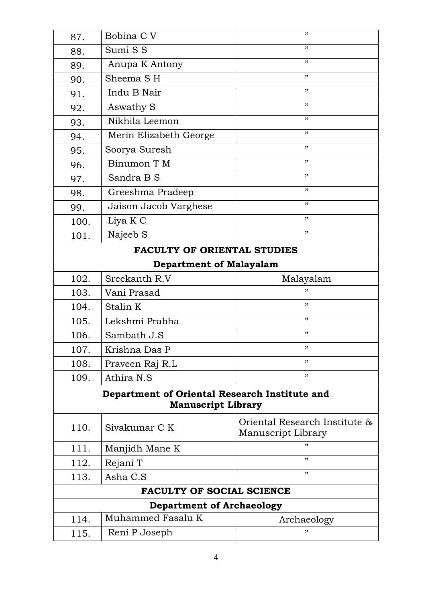| 87.                                           | Bobina C V                | "                             |
|-----------------------------------------------|---------------------------|-------------------------------|
| 88.                                           | Sumi S S                  | , 2                           |
| 89.                                           | Anupa K Antony            | $\boldsymbol{\mathcal{D}}$    |
| 90.                                           | Sheema SH                 | "                             |
| 91.                                           | Indu B Nair               | , 2, 3                        |
| 92.                                           | Aswathy S                 | , 2                           |
| 93.                                           | Nikhila Leemon            | , 2                           |
| 94.                                           | Merin Elizabeth George    | , 22                          |
| 95.                                           | Soorya Suresh             | $\boldsymbol{\mathcal{D}}$    |
| 96.                                           | Binumon T M               | , 2                           |
| 97.                                           | Sandra B S                | , 2                           |
| 98.                                           | Greeshma Pradeep          | "                             |
| 99.                                           | Jaison Jacob Varghese     | , 2                           |
| 100.                                          | Liya K C                  | , 2                           |
| 101.                                          | Najeeb S                  | , 2                           |
| <b>FACULTY OF ORIENTAL STUDIES</b>            |                           |                               |
| <b>Department of Malayalam</b>                |                           |                               |
| 102.                                          | Sreekanth R.V             | Malayalam                     |
| 103.                                          | Vani Prasad               | "                             |
| 104.                                          | Stalin K                  | , 2                           |
| 105.                                          | Lekshmi Prabha            | , 2                           |
| 106.                                          | Sambath J.S               | , 2                           |
| 107.                                          | Krishna Das P             | "                             |
| 108.                                          | Praveen Raj R.L           | , 2, 3                        |
| 109.                                          | Athira N.S                | "                             |
| Department of Oriental Research Institute and |                           |                               |
|                                               | <b>Manuscript Library</b> |                               |
| 110.                                          | Sivakumar C K             | Oriental Research Institute & |
|                                               |                           | Manuscript Library            |
| 111.                                          | Manjidh Mane K            | "                             |
| 112.                                          | Rejani T                  | , 2                           |
| 113.                                          | Asha C.S                  | "                             |
| <b>FACULTY OF SOCIAL SCIENCE</b>              |                           |                               |
| <b>Department of Archaeology</b>              |                           |                               |
| 114.                                          | Muhammed Fasalu K         | Archaeology                   |
| 115.                                          | Reni P Joseph             | "                             |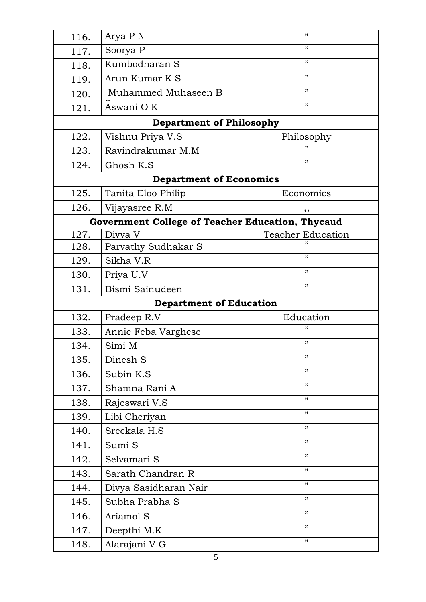| 116.                                             | Arya P N                        | "                          |  |
|--------------------------------------------------|---------------------------------|----------------------------|--|
| 117.                                             | Soorya P                        | "                          |  |
| 118.                                             | Kumbodharan S                   | "                          |  |
| 119.                                             | Arun Kumar K S                  | ,,                         |  |
| 120.                                             | Muhammed Muhaseen B             | "                          |  |
| 121.                                             | Aswani OK                       | "                          |  |
|                                                  | <b>Department of Philosophy</b> |                            |  |
| 122.                                             | Vishnu Priya V.S                | Philosophy                 |  |
| 123.                                             | Ravindrakumar M.M               | "                          |  |
| 124.                                             | Ghosh K.S                       | "                          |  |
| <b>Department of Economics</b>                   |                                 |                            |  |
| 125.                                             | Tanita Eloo Philip              | Economics                  |  |
| 126.                                             | Vijayasree R.M                  | ,,                         |  |
| Government College of Teacher Education, Thycaud |                                 |                            |  |
| 127.                                             | Divya V                         | <b>Teacher Education</b>   |  |
| 128.                                             | Parvathy Sudhakar S             |                            |  |
| 129.                                             | Sikha V.R                       | "                          |  |
| 130.                                             | Priya U.V                       | "                          |  |
| 131.                                             | Bismi Sainudeen                 | ,,                         |  |
|                                                  | <b>Department of Education</b>  |                            |  |
| 132.                                             | Pradeep R.V                     | Education                  |  |
| 133.                                             | Annie Feba Varghese             | "                          |  |
| 134.                                             | Simi M                          | "                          |  |
| 135.                                             | Dinesh S                        | , 2                        |  |
| 136.                                             | Subin K.S                       | ,,                         |  |
| 137.                                             | Shamna Rani A                   | "                          |  |
| 138.                                             | Rajeswari V.S                   | ,,                         |  |
| 139.                                             | Libi Cheriyan                   | "                          |  |
| 140.                                             | Sreekala H.S                    | "                          |  |
| 141.                                             | Sumi S                          | , 2                        |  |
| 142.                                             | Selvamari S                     | , 2                        |  |
| 143.                                             | Sarath Chandran R               | , 2                        |  |
| 144.                                             | Divya Sasidharan Nair           | ,,                         |  |
| 145.                                             | Subha Prabha S                  | , 2                        |  |
| 146.                                             | Ariamol S                       | ,,                         |  |
| 147.                                             | Deepthi M.K                     | $\boldsymbol{\mathcal{D}}$ |  |
| 148.                                             | Alarajani V.G                   | "                          |  |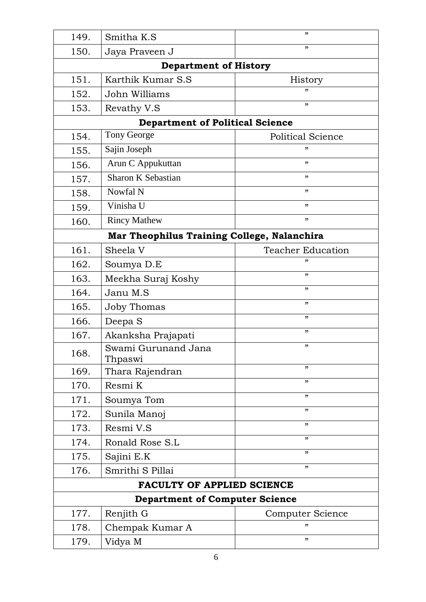| 149.                                  | Smitha K.S                                  | "                        |  |  |
|---------------------------------------|---------------------------------------------|--------------------------|--|--|
| 150.                                  | Jaya Praveen J                              | "                        |  |  |
|                                       | <b>Department of History</b>                |                          |  |  |
| 151.                                  | Karthik Kumar S.S                           | History                  |  |  |
| 152.                                  | John Williams                               | "                        |  |  |
| 153.                                  | Revathy V.S                                 | "                        |  |  |
|                                       | <b>Department of Political Science</b>      |                          |  |  |
| 154.                                  | <b>Tony George</b>                          | <b>Political Science</b> |  |  |
| 155.                                  | Sajin Joseph                                | "                        |  |  |
| 156.                                  | Arun C Appukuttan                           | "                        |  |  |
| 157.                                  | <b>Sharon K Sebastian</b>                   | , 2                      |  |  |
| 158.                                  | Nowfal N                                    | "                        |  |  |
| 159.                                  | Vinisha U                                   | "                        |  |  |
| 160.                                  | <b>Rincy Mathew</b>                         | , 2                      |  |  |
|                                       | Mar Theophilus Training College, Nalanchira |                          |  |  |
| 161.                                  | Sheela V                                    | <b>Teacher Education</b> |  |  |
| 162.                                  | Soumya D.E                                  | "                        |  |  |
| 163.                                  | Meekha Suraj Koshy                          | , 2                      |  |  |
| 164.                                  | Janu M.S                                    | , 2                      |  |  |
| 165.                                  | <b>Joby Thomas</b>                          | , 2                      |  |  |
| 166.                                  | Deepa S                                     | , 2                      |  |  |
| 167.                                  | Akanksha Prajapati                          | , 2                      |  |  |
| 168.                                  | Swami Gurunand Jana<br>Thpaswi              | "                        |  |  |
| 169.                                  | Thara Rajendran                             | , 2                      |  |  |
| 170.                                  | Resmi K                                     | , 2                      |  |  |
| 171.                                  | Soumya Tom                                  | , 22                     |  |  |
| 172.                                  | Sunila Manoj                                | , 2                      |  |  |
| 173.                                  | Resmi V.S                                   | , 2                      |  |  |
| 174.                                  | Ronald Rose S.L                             | , 2                      |  |  |
| 175.                                  | Sajini E.K                                  | , 2, 3                   |  |  |
| 176.                                  | Smrithi S Pillai                            | , 2                      |  |  |
| <b>FACULTY OF APPLIED SCIENCE</b>     |                                             |                          |  |  |
| <b>Department of Computer Science</b> |                                             |                          |  |  |
| 177.                                  | Renjith G                                   | Computer Science         |  |  |
| 178.                                  | Chempak Kumar A                             | "                        |  |  |
| 179.                                  | Vidya M                                     | "                        |  |  |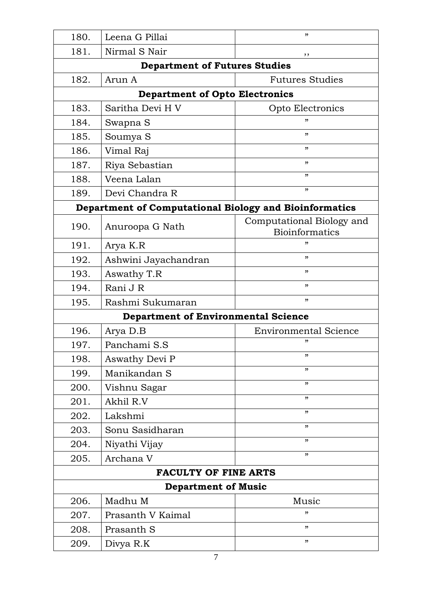| 180.                        | Leena G Pillai                                         | "                                                  |
|-----------------------------|--------------------------------------------------------|----------------------------------------------------|
| 181.                        | Nirmal S Nair                                          | ,,                                                 |
|                             | <b>Department of Futures Studies</b>                   |                                                    |
| 182.                        | Arun A                                                 | <b>Futures Studies</b>                             |
|                             | <b>Department of Opto Electronics</b>                  |                                                    |
| 183.                        | Saritha Devi H V                                       | Opto Electronics                                   |
| 184.                        | Swapna S                                               |                                                    |
| 185.                        | Soumya S                                               | "                                                  |
| 186.                        | Vimal Raj                                              | "                                                  |
| 187.                        | Riya Sebastian                                         | "                                                  |
| 188.                        | Veena Lalan                                            | "                                                  |
| 189.                        | Devi Chandra R                                         | "                                                  |
|                             | Department of Computational Biology and Bioinformatics |                                                    |
| 190.                        | Anuroopa G Nath                                        | Computational Biology and<br><b>Bioinformatics</b> |
| 191.                        | Arya K.R                                               | "                                                  |
| 192.                        | Ashwini Jayachandran                                   | "                                                  |
| 193.                        | Aswathy T.R                                            | "                                                  |
| 194.                        | Rani J R                                               | "                                                  |
| 195.                        | Rashmi Sukumaran                                       | "                                                  |
|                             | <b>Department of Environmental Science</b>             |                                                    |
| 196.                        | Arya D.B                                               | <b>Environmental Science</b>                       |
| 197.                        | Panchami S.S                                           |                                                    |
| 198.                        | Aswathy Devi P                                         | "                                                  |
| 199.                        | Manikandan S                                           | "                                                  |
| 200.                        | Vishnu Sagar                                           | "                                                  |
| 201.                        | Akhil R.V                                              | "                                                  |
| 202.                        | Lakshmi                                                | "                                                  |
| 203.                        | Sonu Sasidharan                                        | "                                                  |
| 204.                        | Niyathi Vijay                                          | "                                                  |
| 205.                        | Archana V                                              | "                                                  |
| <b>FACULTY OF FINE ARTS</b> |                                                        |                                                    |
| <b>Department of Music</b>  |                                                        |                                                    |
| 206.                        | Madhu M                                                | Music                                              |
| 207.                        | Prasanth V Kaimal                                      | "                                                  |
| 208.                        | Prasanth S                                             | "                                                  |
| 209.                        | Divya R.K                                              | "                                                  |